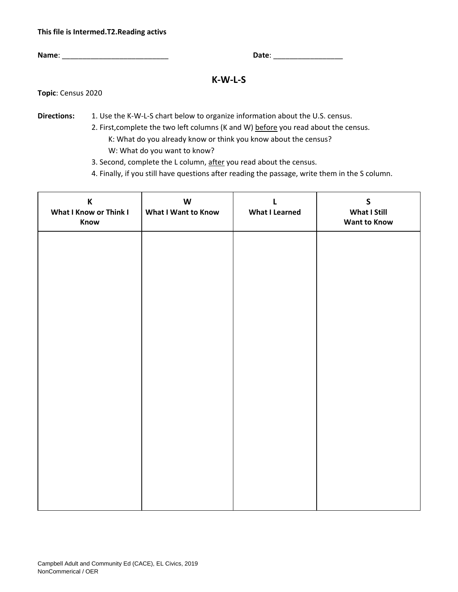### **This file is Intermed.T2.Reading activs**

**Name**: \_\_\_\_\_\_\_\_\_\_\_\_\_\_\_\_\_\_\_\_\_\_\_\_\_\_ **Date**: \_\_\_\_\_\_\_\_\_\_\_\_\_\_\_\_\_

# **K-W-L-S**

**Topic**: Census 2020

**Directions:** 1. Use the K-W-L-S chart below to organize information about the U.S. census.

2. First,complete the two left columns (K and W) before you read about the census. K: What do you already know or think you know about the census? W: What do you want to know?

3. Second, complete the L column, after you read about the census.

4. Finally, if you still have questions after reading the passage, write them in the S column.

| $\mathsf K$<br>What I Know or Think I<br>Know | $\mathsf{W}% _{T}=\mathsf{W}_{T}\!\left( a,b\right) ,\ \mathsf{W}_{T}=\mathsf{W}_{T}$<br>What I Want to Know | L<br><b>What I Learned</b> | $\mathsf{S}$<br>What I Still<br><b>Want to Know</b> |
|-----------------------------------------------|--------------------------------------------------------------------------------------------------------------|----------------------------|-----------------------------------------------------|
|                                               |                                                                                                              |                            |                                                     |
|                                               |                                                                                                              |                            |                                                     |
|                                               |                                                                                                              |                            |                                                     |
|                                               |                                                                                                              |                            |                                                     |
|                                               |                                                                                                              |                            |                                                     |
|                                               |                                                                                                              |                            |                                                     |
|                                               |                                                                                                              |                            |                                                     |
|                                               |                                                                                                              |                            |                                                     |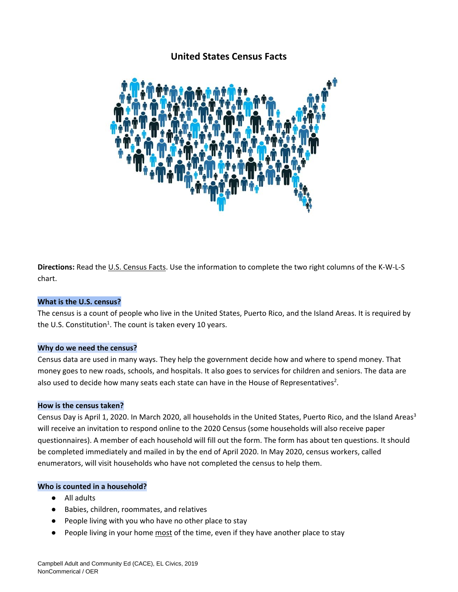# **United States Census Facts**



**Directions:** Read the U.S. Census Facts. Use the information to complete the two right columns of the K-W-L-S chart.

## **What is the U.S. census?**

The census is a count of people who live in the United States, Puerto Rico, and the Island Areas. It is required by the U.S. Constitution<sup>1</sup>. The count is taken every 10 years.

## **Why do we need the census?**

Census data are used in many ways. They help the government decide how and where to spend money. That money goes to new roads, schools, and hospitals. It also goes to services for children and seniors. The data are also used to decide how many seats each state can have in the House of Representatives<sup>2</sup>.

## **How is the census taken?**

Census Day is April 1, 2020. In March 2020, all households in the United States, Puerto Rico, and the Island Areas<sup>3</sup> will receive an invitation to respond online to the 2020 Census (some households will also receive paper questionnaires). A member of each household will fill out the form. The form has about ten questions. It should be completed immediately and mailed in by the end of April 2020. In May 2020, census workers, called enumerators, will visit households who have not completed the census to help them.

## **Who is counted in a household?**

- All adults
- Babies, children, roommates, and relatives
- People living with you who have no other place to stay
- People living in your home most of the time, even if they have another place to stay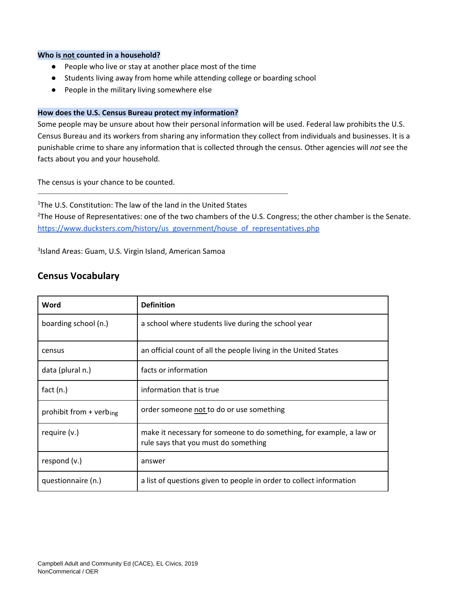#### **Who is not counted in a household?**

● People who live or stay at another place most of the time

\_\_\_\_\_\_\_\_\_\_\_\_\_\_\_\_\_\_\_\_\_\_\_\_\_\_\_\_\_\_\_\_\_\_\_\_\_\_\_\_\_\_\_\_\_\_\_\_\_\_\_\_\_\_\_\_\_\_\_\_\_\_\_\_\_\_\_\_\_\_\_\_\_\_\_\_\_\_\_\_\_\_\_\_\_\_\_\_\_\_\_\_\_\_\_\_

- Students living away from home while attending college or boarding school
- People in the military living somewhere else

## **How does the U.S. Census Bureau protect my information?**

Some people may be unsure about how their personal information will be used. Federal law prohibits the U.S. Census Bureau and its workers from sharing any information they collect from individuals and businesses. It is a punishable crime to share any information that is collected through the census. Other agencies will *not* see the facts about you and your household.

The census is your chance to be counted.

<sup>1</sup>The U.S. Constitution: The law of the land in the United States <sup>2</sup>The House of Representatives: one of the two chambers of the U.S. Congress; the other chamber is the Senate. [https://www.ducksters.com/history/us\\_government/house\\_of\\_representatives.php](https://www.ducksters.com/history/us_government/house_of_representatives.php)

3 Island Areas: Guam, U.S. Virgin Island, American Samoa

# **Census Vocabulary**

| Word                                | <b>Definition</b>                                                                                            |  |
|-------------------------------------|--------------------------------------------------------------------------------------------------------------|--|
| boarding school (n.)                | a school where students live during the school year                                                          |  |
| census                              | an official count of all the people living in the United States                                              |  |
| data (plural n.)                    | facts or information                                                                                         |  |
| fact $(n.)$                         | information that is true                                                                                     |  |
| prohibit from + verb <sub>ing</sub> | order someone not to do or use something                                                                     |  |
| require (v.)                        | make it necessary for someone to do something, for example, a law or<br>rule says that you must do something |  |
| respond (v.)                        | answer                                                                                                       |  |
| questionnaire (n.)                  | a list of questions given to people in order to collect information                                          |  |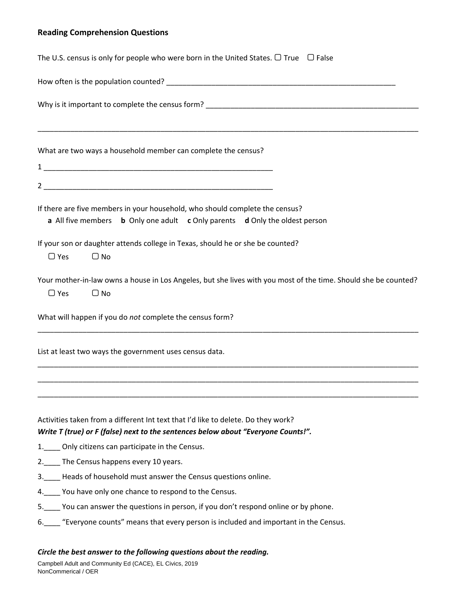# **Reading Comprehension Questions**

| The U.S. census is only for people who were born in the United States. $\Box$ True $\Box$ False                                                                        |  |  |  |
|------------------------------------------------------------------------------------------------------------------------------------------------------------------------|--|--|--|
|                                                                                                                                                                        |  |  |  |
|                                                                                                                                                                        |  |  |  |
| What are two ways a household member can complete the census?                                                                                                          |  |  |  |
|                                                                                                                                                                        |  |  |  |
|                                                                                                                                                                        |  |  |  |
| If there are five members in your household, who should complete the census?<br>a All five members b Only one adult c Only parents d Only the oldest person            |  |  |  |
| If your son or daughter attends college in Texas, should he or she be counted?<br>$\Box$ Yes<br>$\Box$ No                                                              |  |  |  |
| Your mother-in-law owns a house in Los Angeles, but she lives with you most of the time. Should she be counted?<br>$\Box$ Yes<br>$\Box$ No                             |  |  |  |
| What will happen if you do not complete the census form?                                                                                                               |  |  |  |
| List at least two ways the government uses census data.                                                                                                                |  |  |  |
|                                                                                                                                                                        |  |  |  |
| Activities taken from a different Int text that I'd like to delete. Do they work?<br>Write T (true) or F (false) next to the sentences below about "Everyone Counts!". |  |  |  |
| 1.____ Only citizens can participate in the Census.                                                                                                                    |  |  |  |
| 2. The Census happens every 10 years.                                                                                                                                  |  |  |  |
| 3. Heads of household must answer the Census questions online.                                                                                                         |  |  |  |
| 4. You have only one chance to respond to the Census.                                                                                                                  |  |  |  |
| 5. You can answer the questions in person, if you don't respond online or by phone.                                                                                    |  |  |  |
| 6. "Everyone counts" means that every person is included and important in the Census.                                                                                  |  |  |  |
| Circle the best answer to the following questions about the reading.                                                                                                   |  |  |  |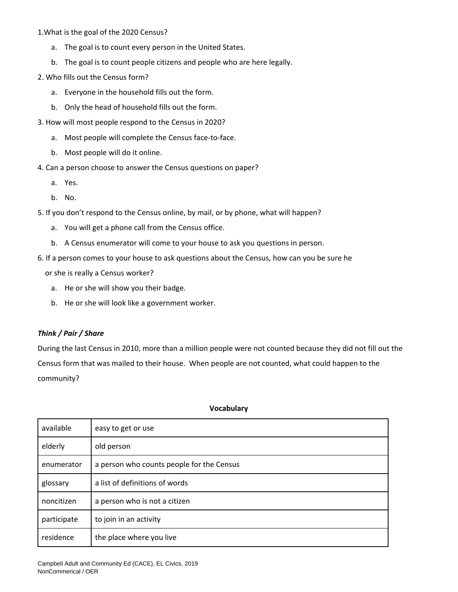1.What is the goal of the 2020 Census?

- a. The goal is to count every person in the United States.
- b. The goal is to count people citizens and people who are here legally.
- 2. Who fills out the Census form?
	- a. Everyone in the household fills out the form.
	- b. Only the head of household fills out the form.
- 3. How will most people respond to the Census in 2020?
	- a. Most people will complete the Census face-to-face.
	- b. Most people will do it online.
- 4. Can a person choose to answer the Census questions on paper?
	- a. Yes.
	- b. No.
- 5. If you don't respond to the Census online, by mail, or by phone, what will happen?
	- a. You will get a phone call from the Census office.
	- b. A Census enumerator will come to your house to ask you questions in person.
- 6. If a person comes to your house to ask questions about the Census, how can you be sure he

or she is really a Census worker?

- a. He or she will show you their badge.
- b. He or she will look like a government worker.

# *Think / Pair / Share*

During the last Census in 2010, more than a million people were not counted because they did not fill out the Census form that was mailed to their house. When people are not counted, what could happen to the community?

| available   | easy to get or use                        |
|-------------|-------------------------------------------|
| elderly     | old person                                |
| enumerator  | a person who counts people for the Census |
| glossary    | a list of definitions of words            |
| noncitizen  | a person who is not a citizen             |
| participate | to join in an activity                    |
| residence   | the place where you live                  |

#### **Vocabulary**